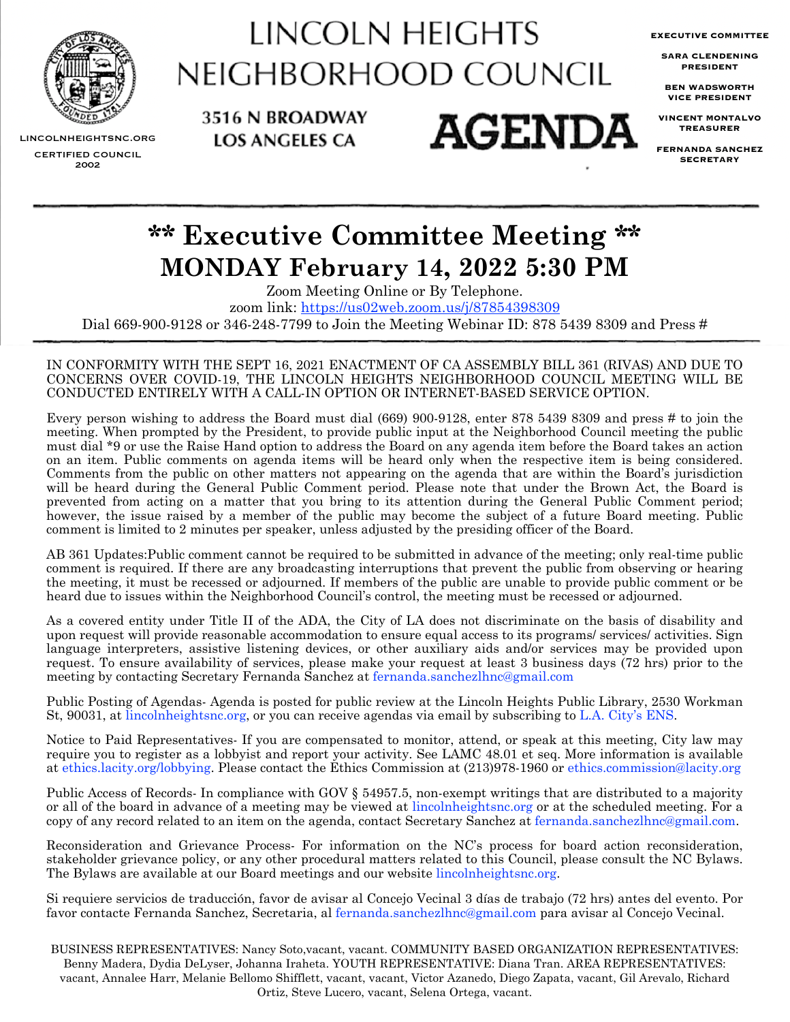

LINCOLN HEIGHTS NEIGHBORHOOD COUNCIL

**AGENDA** 

3516 N BROADWAY

**LOS ANGELES CA** 

**EXECUTIVE COMMITTEE**

**SARA CLENDENING PRESIDENT**

**BEN WADSWORTH VICE PRESIDENT**

**VINCENT MONTALVO TREASURER**

**FERNANDA SANCHEZ SECRETARY**

LINCOLNHEIGHTSNC.ORG CERTIFIED COUNCIL 2002

# **\*\* Executive Committee Meeting \*\* MONDAY February 14, 2022 5:30 PM**

Zoom Meeting Online or By Telephone. zoom link:<https://us02web.zoom.us/j/87854398309> Dial 669-900-9128 or 346-248-7799 to Join the Meeting Webinar ID: 878 5439 8309 and Press #

#### IN CONFORMITY WITH THE SEPT 16, 2021 ENACTMENT OF CA ASSEMBLY BILL 361 (RIVAS) AND DUE TO CONCERNS OVER COVID-19, THE LINCOLN HEIGHTS NEIGHBORHOOD COUNCIL MEETING WILL BE CONDUCTED ENTIRELY WITH A CALL-IN OPTION OR INTERNET-BASED SERVICE OPTION.

Every person wishing to address the Board must dial (669) 900-9128, enter 878 5439 8309 and press # to join the meeting. When prompted by the President, to provide public input at the Neighborhood Council meeting the public must dial \*9 or use the Raise Hand option to address the Board on any agenda item before the Board takes an action on an item. Public comments on agenda items will be heard only when the respective item is being considered. Comments from the public on other matters not appearing on the agenda that are within the Board's jurisdiction will be heard during the General Public Comment period. Please note that under the Brown Act, the Board is prevented from acting on a matter that you bring to its attention during the General Public Comment period; however, the issue raised by a member of the public may become the subject of a future Board meeting. Public comment is limited to 2 minutes per speaker, unless adjusted by the presiding officer of the Board.

AB 361 Updates:Public comment cannot be required to be submitted in advance of the meeting; only real-time public comment is required. If there are any broadcasting interruptions that prevent the public from observing or hearing the meeting, it must be recessed or adjourned. If members of the public are unable to provide public comment or be heard due to issues within the Neighborhood Council's control, the meeting must be recessed or adjourned.

As a covered entity under Title II of the ADA, the City of LA does not discriminate on the basis of disability and upon request will provide reasonable accommodation to ensure equal access to its programs/ services/ activities. Sign language interpreters, assistive listening devices, or other auxiliary aids and/or services may be provided upon request. To ensure availability of services, please make your request at least 3 business days (72 hrs) prior to the meeting by contacting Secretary Fernanda Sanchez at [fernanda.sanchezlhnc@gmail.com](mailto:fernanda.Sanchezlhnc@gmail.com)

Public Posting of Agendas- Agenda is posted for public review at the Lincoln Heights Public Library, 2530 Workman St, 90031, at [lincolnheightsnc.org,](http://www.lincolnheightsNC.org) or you can receive agendas via email by subscribing to [L.A. City's ENS](https://www.lacity.org/government/subscribe-agendasnotifications/neighborhood-councils).

Notice to Paid Representatives- If you are compensated to monitor, attend, or speak at this meeting, City law may require you to register as a lobbyist and report your activity. See LAMC 48.01 et seq. More information is available at [ethics.lacity.org/lobbying](http://ethics.lacity.org/lobbying). Please contact the Ethics Commission at (213)978-1960 or [ethics.commission@lacity.org](mailto:ethics.commission@lacity.org)

Public Access of Records- In compliance with GOV § 54957.5, non-exempt writings that are distributed to a majority or all of the board in advance of a meeting may be viewed at [lincolnheightsnc.org](http://lincolnheightsnc.org) or at the scheduled meeting. For a copy of any record related to an item on the agenda, contact Secretary Sanchez at [fernanda.sanchezlhnc@gmail.com](mailto:fernanda.sanchezlhnc@gmail.com).

Reconsideration and Grievance Process- For information on the NC's process for board action reconsideration, stakeholder grievance policy, or any other procedural matters related to this Council, please consult the NC Bylaws. The Bylaws are available at our Board meetings and our website [lincolnheightsnc.org.](http://www.lincolnheightsNC.org)

Si requiere servicios de traducción, favor de avisar al Concejo Vecinal 3 días de trabajo (72 hrs) antes del evento. Por favor contacte Fernanda Sanchez, Secretaria, al [fernanda.sanchezlhnc@gmail.com](mailto:fernanda.Sanchezlhnc@gmail.com) para avisar al Concejo Vecinal.

BUSINESS REPRESENTATIVES: Nancy Soto,vacant, vacant. COMMUNITY BASED ORGANIZATION REPRESENTATIVES: Benny Madera, Dydia DeLyser, Johanna Iraheta. YOUTH REPRESENTATIVE: Diana Tran. AREA REPRESENTATIVES: vacant, Annalee Harr, Melanie Bellomo Shifflett, vacant, vacant, Victor Azanedo, Diego Zapata, vacant, Gil Arevalo, Richard Ortiz, Steve Lucero, vacant, Selena Ortega, vacant.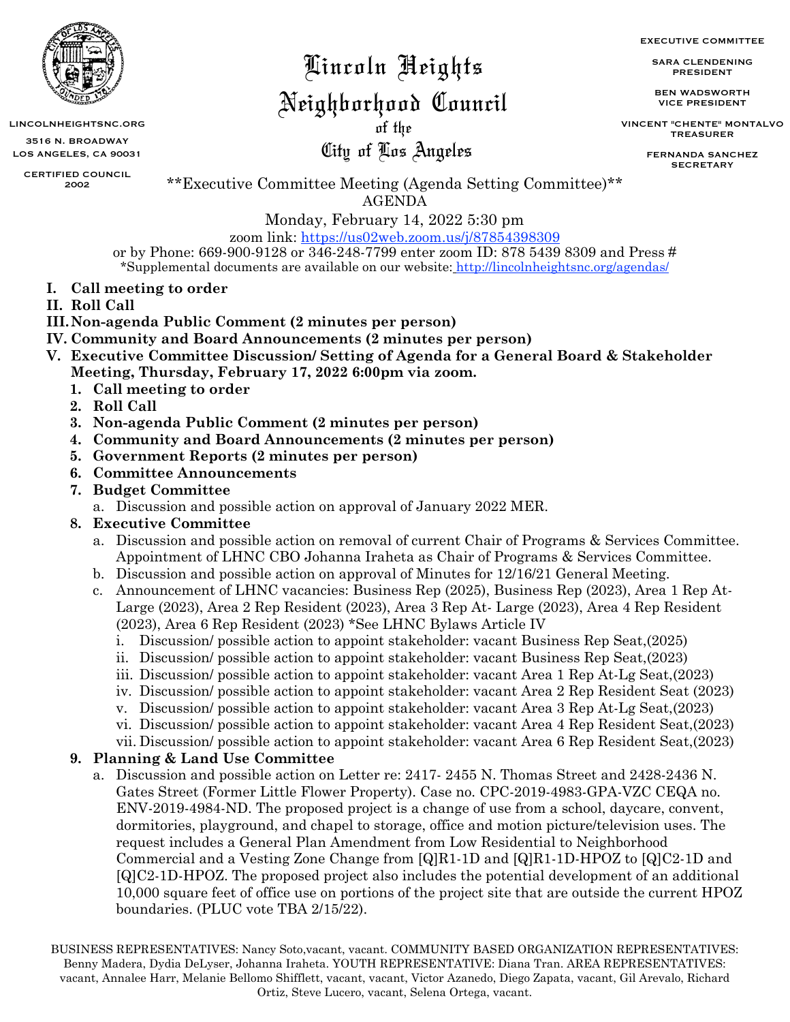

LINCOLNHEIGHTSNC.ORG **the LINCOLNHEIGHTSNC.ORG the LINCOLN** 

3516 N. BROADWAY LOS ANGELES, CA 90031

CERTIFIED COUNCIL 2002

## Lincoln Heights

### Neighborhood Council

City of Los Angeles

SARA CLENDENING PRESIDENT

EXECUTIVE COMMITTEE

BEN WADSWORTH VICE PRESIDENT

VINCENT "CHENTE" MONTALVO TREASURER

> FERNANDA SANCHEZ SECRETARY

\*\*Executive Committee Meeting (Agenda Setting Committee)\*\* AGENDA

Monday, February 14, 2022 5:30 pm

zoom link:<https://us02web.zoom.us/j/87854398309> or by Phone: 669-900-9128 or 346-248-7799 enter zoom ID: 878 5439 8309 and Press # \*Supplemental documents are available on our website: <http://lincolnheightsnc.org/agendas/>

- **I. Call meeting to order**
- **II. Roll Call**
- **III.Non-agenda Public Comment (2 minutes per person)**
- **IV. Community and Board Announcements (2 minutes per person)**
- **V. Executive Committee Discussion/ Setting of Agenda for a General Board & Stakeholder Meeting, Thursday, February 17, 2022 6:00pm via zoom.** 
	- **1. Call meeting to order**
	- **2. Roll Call**
	- **3. Non-agenda Public Comment (2 minutes per person)**
	- **4. Community and Board Announcements (2 minutes per person)**
	- **5. Government Reports (2 minutes per person)**
	- **6. Committee Announcements**
	- **7. Budget Committee**
		- a. Discussion and possible action on approval of January 2022 MER.
	- **8. Executive Committee** 
		- a. Discussion and possible action on removal of current Chair of Programs & Services Committee. Appointment of LHNC CBO Johanna Iraheta as Chair of Programs & Services Committee.
		- b. Discussion and possible action on approval of Minutes for 12/16/21 General Meeting.
		- c. Announcement of LHNC vacancies: Business Rep (2025), Business Rep (2023), Area 1 Rep At-Large (2023), Area 2 Rep Resident (2023), Area 3 Rep At- Large (2023), Area 4 Rep Resident (2023), Area 6 Rep Resident (2023) \*See LHNC Bylaws Article IV
			- i. Discussion/ possible action to appoint stakeholder: vacant Business Rep Seat,(2025)
			- ii. Discussion/ possible action to appoint stakeholder: vacant Business Rep Seat,(2023)
			- iii. Discussion/ possible action to appoint stakeholder: vacant Area 1 Rep At-Lg Seat,(2023)
			- iv. Discussion/ possible action to appoint stakeholder: vacant Area 2 Rep Resident Seat (2023)
			- v. Discussion/ possible action to appoint stakeholder: vacant Area 3 Rep At-Lg Seat,(2023)
			- vi. Discussion/ possible action to appoint stakeholder: vacant Area 4 Rep Resident Seat,(2023)
			- vii. Discussion/ possible action to appoint stakeholder: vacant Area 6 Rep Resident Seat,(2023)

#### **9. Planning & Land Use Committee**

a. Discussion and possible action on Letter re: 2417- 2455 N. Thomas Street and 2428-2436 N. Gates Street (Former Little Flower Property). Case no. CPC-2019-4983-GPA-VZC CEQA no. ENV-2019-4984-ND. The proposed project is a change of use from a school, daycare, convent, dormitories, playground, and chapel to storage, office and motion picture/television uses. The request includes a General Plan Amendment from Low Residential to Neighborhood Commercial and a Vesting Zone Change from [Q]R1-1D and [Q]R1-1D-HPOZ to [Q]C2-1D and [Q]C2-1D-HPOZ. The proposed project also includes the potential development of an additional 10,000 square feet of office use on portions of the project site that are outside the current HPOZ boundaries. (PLUC vote TBA 2/15/22).

BUSINESS REPRESENTATIVES: Nancy Soto,vacant, vacant. COMMUNITY BASED ORGANIZATION REPRESENTATIVES: Benny Madera, Dydia DeLyser, Johanna Iraheta. YOUTH REPRESENTATIVE: Diana Tran. AREA REPRESENTATIVES: vacant, Annalee Harr, Melanie Bellomo Shifflett, vacant, vacant, Victor Azanedo, Diego Zapata, vacant, Gil Arevalo, Richard Ortiz, Steve Lucero, vacant, Selena Ortega, vacant.